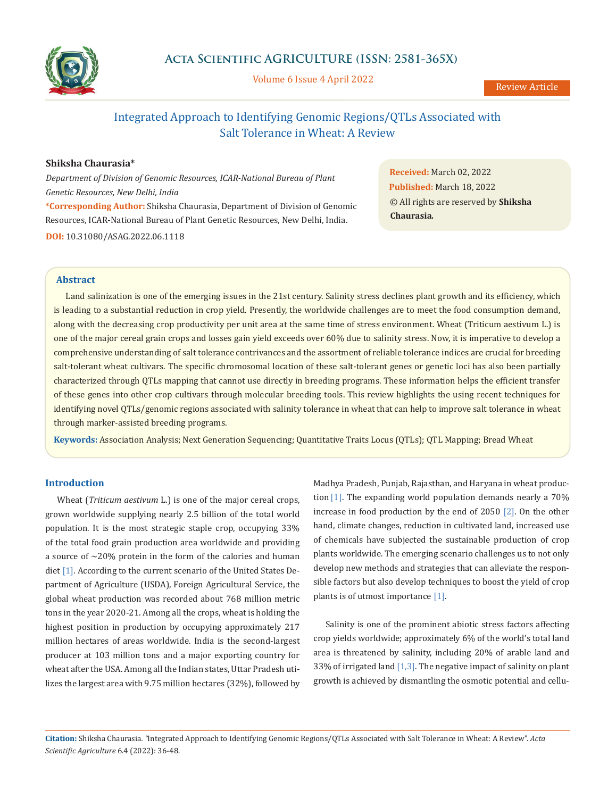

Volume 6 Issue 4 April 2022

# Integrated Approach to Identifying Genomic Regions/QTLs Associated with Salt Tolerance in Wheat: A Review

# **Shiksha Chaurasia\***

*Department of Division of Genomic Resources, ICAR-National Bureau of Plant Genetic Resources, New Delhi, India* **\*Corresponding Author:** Shiksha Chaurasia, Department of Division of Genomic Resources, ICAR-National Bureau of Plant Genetic Resources, New Delhi, India. **DOI:** [10.31080/ASAG.2022.06.111](https://www.actascientific.com/ASAG/pdf/ASAG-06-1118.pdf)8

**Received:** March 02, 2022 **Published:** March 18, 2022 © All rights are reserved by **Shiksha Chaurasia***.* 

### **Abstract**

Land salinization is one of the emerging issues in the 21st century. Salinity stress declines plant growth and its efficiency, which is leading to a substantial reduction in crop yield. Presently, the worldwide challenges are to meet the food consumption demand, along with the decreasing crop productivity per unit area at the same time of stress environment. Wheat (Triticum aestivum L.) is one of the major cereal grain crops and losses gain yield exceeds over 60% due to salinity stress. Now, it is imperative to develop a comprehensive understanding of salt tolerance contrivances and the assortment of reliable tolerance indices are crucial for breeding salt-tolerant wheat cultivars. The specific chromosomal location of these salt-tolerant genes or genetic loci has also been partially characterized through QTLs mapping that cannot use directly in breeding programs. These information helps the efficient transfer of these genes into other crop cultivars through molecular breeding tools. This review highlights the using recent techniques for identifying novel QTLs/genomic regions associated with salinity tolerance in wheat that can help to improve salt tolerance in wheat through marker-assisted breeding programs.

**Keywords:** Association Analysis; Next Generation Sequencing; Quantitative Traits Locus (QTLs); QTL Mapping; Bread Wheat

# **Introduction**

Wheat (*Triticum aestivum* L.) is one of the major cereal crops, grown worldwide supplying nearly 2.5 billion of the total world population. It is the most strategic staple crop, occupying 33% of the total food grain production area worldwide and providing a source of  $\sim$ 20% protein in the form of the calories and human diet [1]. According to the current scenario of the United States Department of Agriculture (USDA), Foreign Agricultural Service, the global wheat production was recorded about 768 million metric tons in the year 2020-21. Among all the crops, wheat is holding the highest position in production by occupying approximately 217 million hectares of areas worldwide. India is the second-largest producer at 103 million tons and a major exporting country for wheat after the USA. Among all the Indian states, Uttar Pradesh utilizes the largest area with 9.75 million hectares (32%), followed by Madhya Pradesh, Punjab, Rajasthan, and Haryana in wheat production [1]. The expanding world population demands nearly a 70% increase in food production by the end of 2050 [2]. On the other hand, climate changes, reduction in cultivated land, increased use of chemicals have subjected the sustainable production of crop plants worldwide. The emerging scenario challenges us to not only develop new methods and strategies that can alleviate the responsible factors but also develop techniques to boost the yield of crop plants is of utmost importance [1].

Salinity is one of the prominent abiotic stress factors affecting crop yields worldwide; approximately 6% of the world's total land area is threatened by salinity, including 20% of arable land and 33% of irrigated land  $[1,3]$ . The negative impact of salinity on plant growth is achieved by dismantling the osmotic potential and cellu-

**Citation:** Shiksha Chaurasia*. "*Integrated Approach to Identifying Genomic Regions/QTLs Associated with Salt Tolerance in Wheat: A Review". *Acta Scientific Agriculture* 6.4 (2022): 36-48.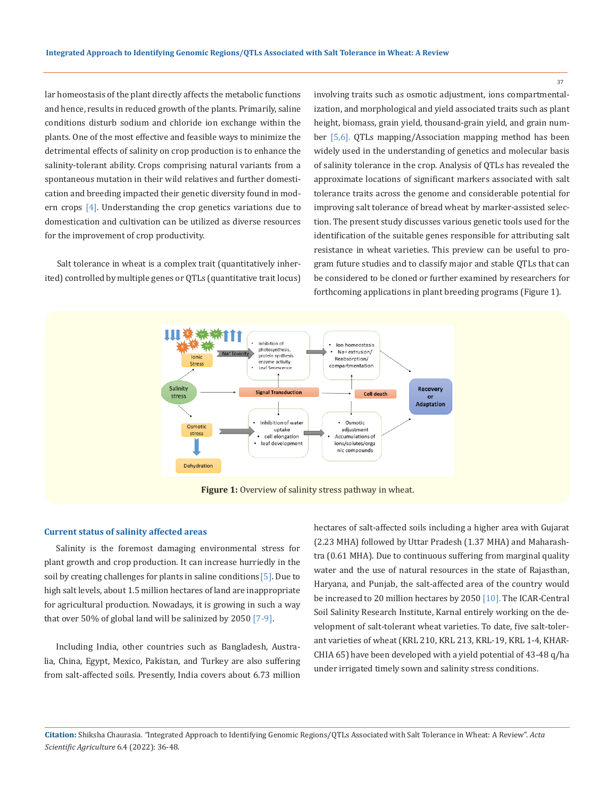lar homeostasis of the plant directly affects the metabolic functions and hence, results in reduced growth of the plants. Primarily, saline conditions disturb sodium and chloride ion exchange within the plants. One of the most effective and feasible ways to minimize the detrimental effects of salinity on crop production is to enhance the salinity-tolerant ability. Crops comprising natural variants from a spontaneous mutation in their wild relatives and further domestication and breeding impacted their genetic diversity found in modern crops [4]. Understanding the crop genetics variations due to domestication and cultivation can be utilized as diverse resources for the improvement of crop productivity.

Salt tolerance in wheat is a complex trait (quantitatively inherited) controlled by multiple genes or QTLs (quantitative trait locus) involving traits such as osmotic adjustment, ions compartmentalization, and morphological and yield associated traits such as plant height, biomass, grain yield, thousand-grain yield, and grain number [5,6]. QTLs mapping/Association mapping method has been widely used in the understanding of genetics and molecular basis of salinity tolerance in the crop. Analysis of QTLs has revealed the approximate locations of significant markers associated with salt tolerance traits across the genome and considerable potential for improving salt tolerance of bread wheat by marker-assisted selection. The present study discusses various genetic tools used for the identification of the suitable genes responsible for attributing salt resistance in wheat varieties. This preview can be useful to program future studies and to classify major and stable QTLs that can be considered to be cloned or further examined by researchers for forthcoming applications in plant breeding programs (Figure 1).



#### **Current status of salinity affected areas**

Salinity is the foremost damaging environmental stress for plant growth and crop production. It can increase hurriedly in the soil by creating challenges for plants in saline conditions [5]. Due to high salt levels, about 1.5 million hectares of land are inappropriate for agricultural production. Nowadays, it is growing in such a way that over 50% of global land will be salinized by 2050 [7-9].

Including India, other countries such as Bangladesh, Australia, China, Egypt, Mexico, Pakistan, and Turkey are also suffering from salt-affected soils. Presently, India covers about 6.73 million hectares of salt-affected soils including a higher area with Gujarat (2.23 MHA) followed by Uttar Pradesh (1.37 MHA) and Maharashtra (0.61 MHA). Due to continuous suffering from marginal quality water and the use of natural resources in the state of Rajasthan, Haryana, and Punjab, the salt-affected area of the country would be increased to 20 million hectares by 2050 [10]. The ICAR-Central Soil Salinity Research Institute, Karnal entirely working on the development of salt-tolerant wheat varieties. To date, five salt-tolerant varieties of wheat (KRL 210, KRL 213, KRL-19, KRL 1-4, KHAR-CHIA 65) have been developed with a yield potential of 43-48 q/ha under irrigated timely sown and salinity stress conditions.

**Citation:** Shiksha Chaurasia*. "*Integrated Approach to Identifying Genomic Regions/QTLs Associated with Salt Tolerance in Wheat: A Review". *Acta Scientific Agriculture* 6.4 (2022): 36-48.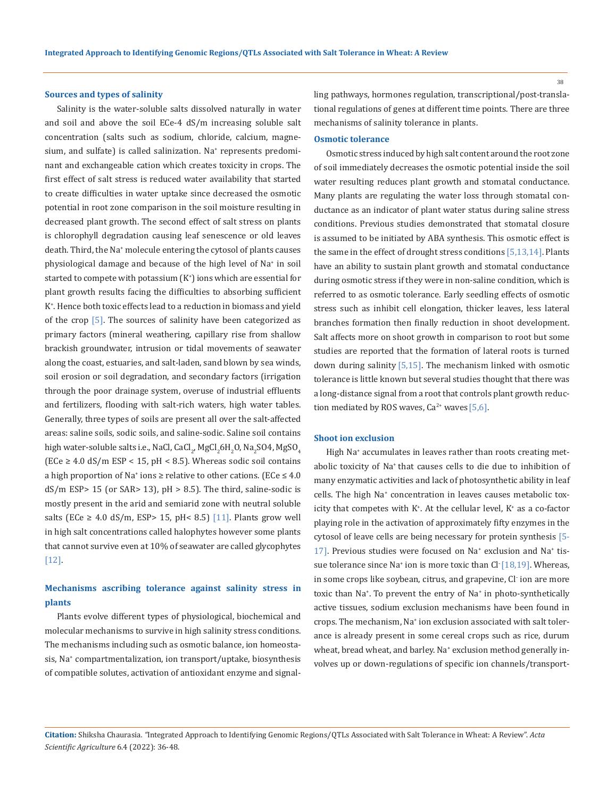#### **Sources and types of salinity**

Salinity is the water-soluble salts dissolved naturally in water and soil and above the soil ECe-4 dS/m increasing soluble salt concentration (salts such as sodium, chloride, calcium, magnesium, and sulfate) is called salinization. Na+ represents predominant and exchangeable cation which creates toxicity in crops. The first effect of salt stress is reduced water availability that started to create difficulties in water uptake since decreased the osmotic potential in root zone comparison in the soil moisture resulting in decreased plant growth. The second effect of salt stress on plants is chlorophyll degradation causing leaf senescence or old leaves death. Third, the Na+ molecule entering the cytosol of plants causes physiological damage and because of the high level of Na<sup>+</sup> in soil started to compete with potassium (K<sup>+</sup> ) ions which are essential for plant growth results facing the difficulties to absorbing sufficient K+ . Hence both toxic effects lead to a reduction in biomass and yield of the crop [5]. The sources of salinity have been categorized as primary factors (mineral weathering, capillary rise from shallow brackish groundwater, intrusion or tidal movements of seawater along the coast, estuaries, and salt-laden, sand blown by sea winds, soil erosion or soil degradation, and secondary factors (irrigation through the poor drainage system, overuse of industrial effluents and fertilizers, flooding with salt-rich waters, high water tables. Generally, three types of soils are present all over the salt-affected areas: saline soils, sodic soils, and saline-sodic. Saline soil contains high water-soluble salts i.e., NaCl, CaCl<sub>2</sub>, MgCl<sub>2</sub>6H<sub>2</sub>O, Na<sub>2</sub>SO4, MgSO<sub>4</sub>  $(ECe \geq 4.0 \text{ dS/m ESP} < 15, \text{ pH} < 8.5)$ . Whereas sodic soil contains a high proportion of Na<sup>+</sup> ions  $\ge$  relative to other cations. (ECe  $\leq 4.0$ )  $dS/m$  ESP> 15 (or SAR> 13),  $pH > 8.5$ ). The third, saline-sodic is mostly present in the arid and semiarid zone with neutral soluble salts (ECe  $\geq$  4.0 dS/m, ESP > 15, pH < 8.5) [11]. Plants grow well in high salt concentrations called halophytes however some plants that cannot survive even at 10% of seawater are called glycophytes [12].

# **Mechanisms ascribing tolerance against salinity stress in plants**

Plants evolve different types of physiological, biochemical and molecular mechanisms to survive in high salinity stress conditions. The mechanisms including such as osmotic balance, ion homeostasis, Na+ compartmentalization, ion transport/uptake, biosynthesis of compatible solutes, activation of antioxidant enzyme and signalling pathways, hormones regulation, transcriptional/post-translational regulations of genes at different time points. There are three mechanisms of salinity tolerance in plants.

#### **Osmotic tolerance**

Osmotic stress induced by high salt content around the root zone of soil immediately decreases the osmotic potential inside the soil water resulting reduces plant growth and stomatal conductance. Many plants are regulating the water loss through stomatal conductance as an indicator of plant water status during saline stress conditions. Previous studies demonstrated that stomatal closure is assumed to be initiated by ABA synthesis. This osmotic effect is the same in the effect of drought stress conditions [5,13,14]. Plants have an ability to sustain plant growth and stomatal conductance during osmotic stress if they were in non-saline condition, which is referred to as osmotic tolerance. Early seedling effects of osmotic stress such as inhibit cell elongation, thicker leaves, less lateral branches formation then finally reduction in shoot development. Salt affects more on shoot growth in comparison to root but some studies are reported that the formation of lateral roots is turned down during salinity [5,15]. The mechanism linked with osmotic tolerance is little known but several studies thought that there was a long-distance signal from a root that controls plant growth reduction mediated by ROS waves,  $Ca^{2+}$  waves [5,6].

#### **Shoot ion exclusion**

High Na+ accumulates in leaves rather than roots creating metabolic toxicity of Na<sup>+</sup> that causes cells to die due to inhibition of many enzymatic activities and lack of photosynthetic ability in leaf cells. The high Na<sup>+</sup> concentration in leaves causes metabolic toxicity that competes with  $K^*$ . At the cellular level,  $K^*$  as a co-factor playing role in the activation of approximately fifty enzymes in the cytosol of leave cells are being necessary for protein synthesis [5- 17]. Previous studies were focused on Na<sup>+</sup> exclusion and Na<sup>+</sup> tissue tolerance since Na<sup>+</sup> ion is more toxic than Cl<sup>-</sup> [18,19]. Whereas, in some crops like soybean, citrus, and grapevine, Cl- ion are more toxic than Na<sup>+</sup> . To prevent the entry of Na+ in photo-synthetically active tissues, sodium exclusion mechanisms have been found in crops. The mechanism, Na+ ion exclusion associated with salt tolerance is already present in some cereal crops such as rice, durum wheat, bread wheat, and barley. Na<sup>+</sup> exclusion method generally involves up or down-regulations of specific ion channels/transport-

**Citation:** Shiksha Chaurasia*. "*Integrated Approach to Identifying Genomic Regions/QTLs Associated with Salt Tolerance in Wheat: A Review". *Acta Scientific Agriculture* 6.4 (2022): 36-48.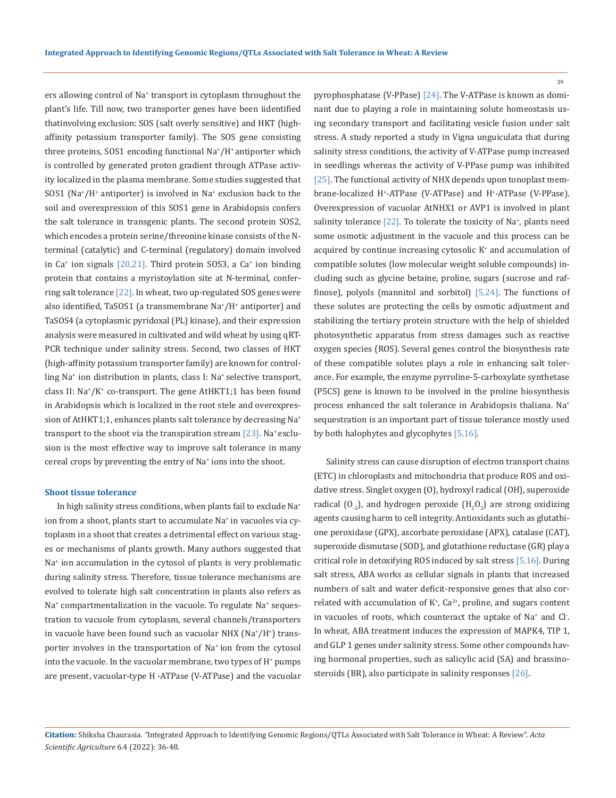ers allowing control of Na<sup>+</sup> transport in cytoplasm throughout the plant's life. Till now, two transporter genes have been iidentified thatinvolving exclusion: SOS (salt overly sensitive) and HKT (highaffinity potassium transporter family). The SOS gene consisting three proteins, SOS1 encoding functional Na+ /H+ antiporter which is controlled by generated proton gradient through ATPase activity localized in the plasma membrane. Some studies suggested that SOS1 (Na<sup>+</sup> /H+ antiporter) is involved in Na<sup>+</sup> exclusion back to the soil and overexpression of this SOS1 gene in Arabidopsis confers the salt tolerance in transgenic plants. The second protein SOS2, which encodes a protein serine/threonine kinase consists of the Nterminal (catalytic) and C-terminal (regulatory) domain involved in Ca+ ion signals [20,21]. Third protein SOS3, a Ca<sup>+</sup> ion binding protein that contains a myristoylation site at N-terminal, conferring salt tolerance  $[22]$ . In wheat, two up-regulated SOS genes were also identified, TaSOS1 (a transmembrane Na<sup>+</sup> /H+ antiporter) and TaSOS4 (a cytoplasmic pyridoxal (PL) kinase), and their expression analysis were measured in cultivated and wild wheat by using qRT-PCR technique under salinity stress. Second, two classes of HKT (high-affinity potassium transporter family) are known for controlling Na<sup>+</sup> ion distribution in plants, class I: Na+ selective transport, class II: Na<sup>+</sup> /K<sup>+</sup> co-transport. The gene AtHKT1;1 has been found in Arabidopsis which is localized in the root stele and overexpression of AtHKT1;1, enhances plants salt tolerance by decreasing Na<sup>+</sup> transport to the shoot via the transpiration stream  $[23]$ . Na<sup>+</sup> exclusion is the most effective way to improve salt tolerance in many cereal crops by preventing the entry of Na<sup>+</sup> ions into the shoot.

#### **Shoot tissue tolerance**

In high salinity stress conditions, when plants fail to exclude Na<sup>+</sup> ion from a shoot, plants start to accumulate Na<sup>+</sup> in vacuoles via cytoplasm in a shoot that creates a detrimental effect on various stages or mechanisms of plants growth. Many authors suggested that Na+ ion accumulation in the cytosol of plants is very problematic during salinity stress. Therefore, tissue tolerance mechanisms are evolved to tolerate high salt concentration in plants also refers as Na+ compartmentalization in the vacuole. To regulate Na+ sequestration to vacuole from cytoplasm, several channels/transporters in vacuole have been found such as vacuolar NHX (Na\*/H\*) transporter involves in the transportation of Na<sup>+</sup> ion from the cytosol into the vacuole. In the vacuolar membrane, two types of  $\mathrm{H}^*$  pumps are present, vacuolar-type H -ATPase (V-ATPase) and the vacuolar

pyrophosphatase (V-PPase) [24]. The V-ATPase is known as dominant due to playing a role in maintaining solute homeostasis using secondary transport and facilitating vesicle fusion under salt stress. A study reported a study in Vigna unguiculata that during salinity stress conditions, the activity of V-ATPase pump increased in seedlings whereas the activity of V-PPase pump was inhibited [25]. The functional activity of NHX depends upon tonoplast membrane-localized H<sup>+</sup> -ATPase (V-ATPase) and H+ -ATPase (V-PPase). Overexpression of vacuolar AtNHX1 or AVP1 is involved in plant salinity tolerance [22]. To tolerate the toxicity of Na<sup>+</sup>, plants need some osmotic adjustment in the vacuole and this process can be acquired by continue increasing cytosolic K<sup>+</sup> and accumulation of compatible solutes (low molecular weight soluble compounds) including such as glycine betaine, proline, sugars (sucrose and raffinose), polyols (mannitol and sorbitol) [5,24]. The functions of these solutes are protecting the cells by osmotic adjustment and stabilizing the tertiary protein structure with the help of shielded photosynthetic apparatus from stress damages such as reactive oxygen species (ROS). Several genes control the biosynthesis rate of these compatible solutes plays a role in enhancing salt tolerance. For example, the enzyme pyrroline-5-carboxylate synthetase (P5CS) gene is known to be involved in the proline biosynthesis process enhanced the salt tolerance in Arabidopsis thaliana. Na+ sequestration is an important part of tissue tolerance mostly used by both halophytes and glycophytes [5,16].

Salinity stress can cause disruption of electron transport chains (ETC) in chloroplasts and mitochondria that produce ROS and oxidative stress. Singlet oxygen (O), hydroxyl radical (OH), superoxide radical  $(0_{.2})$ , and hydrogen peroxide  $(H_2O_2)$  are strong oxidizing agents causing harm to cell integrity. Antioxidants such as glutathione peroxidase (GPX), ascorbate peroxidase (APX), catalase (CAT), superoxide dismutase (SOD), and glutathione reductase (GR) play a critical role in detoxifying ROS induced by salt stress [5,16]. During salt stress, ABA works as cellular signals in plants that increased numbers of salt and water deficit-responsive genes that also correlated with accumulation of  $K^*$ ,  $Ca^{2*}$ , proline, and sugars content in vacuoles of roots, which counteract the uptake of  $\text{Na}^*$  and  $\text{Cl}$ . In wheat, ABA treatment induces the expression of MAPK4, TIP 1, and GLP 1 genes under salinity stress. Some other compounds having hormonal properties, such as salicylic acid (SA) and brassinosteroids (BR), also participate in salinity responses [26].

**Citation:** Shiksha Chaurasia*. "*Integrated Approach to Identifying Genomic Regions/QTLs Associated with Salt Tolerance in Wheat: A Review". *Acta Scientific Agriculture* 6.4 (2022): 36-48.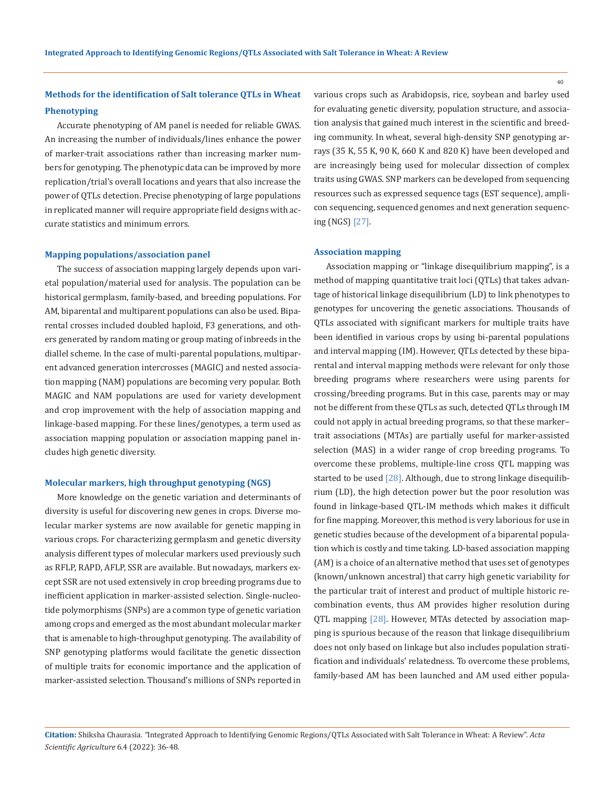# **Methods for the identification of Salt tolerance QTLs in Wheat Phenotyping**

Accurate phenotyping of AM panel is needed for reliable GWAS. An increasing the number of individuals/lines enhance the power of marker-trait associations rather than increasing marker numbers for genotyping. The phenotypic data can be improved by more replication/trial's overall locations and years that also increase the power of QTLs detection. Precise phenotyping of large populations in replicated manner will require appropriate field designs with accurate statistics and minimum errors.

#### **Mapping populations/association panel**

The success of association mapping largely depends upon varietal population/material used for analysis. The population can be historical germplasm, family-based, and breeding populations. For AM, biparental and multiparent populations can also be used. Biparental crosses included doubled haploid, F3 generations, and others generated by random mating or group mating of inbreeds in the diallel scheme. In the case of multi-parental populations, multiparent advanced generation intercrosses (MAGIC) and nested association mapping (NAM) populations are becoming very popular. Both MAGIC and NAM populations are used for variety development and crop improvement with the help of association mapping and linkage-based mapping. For these lines/genotypes, a term used as association mapping population or association mapping panel includes high genetic diversity.

#### **Molecular markers, high throughput genotyping (NGS)**

More knowledge on the genetic variation and determinants of diversity is useful for discovering new genes in crops. Diverse molecular marker systems are now available for genetic mapping in various crops. For characterizing germplasm and genetic diversity analysis different types of molecular markers used previously such as RFLP, RAPD, AFLP, SSR are available. But nowadays, markers except SSR are not used extensively in crop breeding programs due to inefficient application in marker-assisted selection. Single-nucleotide polymorphisms (SNPs) are a common type of genetic variation among crops and emerged as the most abundant molecular marker that is amenable to high-throughput genotyping. The availability of SNP genotyping platforms would facilitate the genetic dissection of multiple traits for economic importance and the application of marker-assisted selection. Thousand's millions of SNPs reported in

various crops such as Arabidopsis, rice, soybean and barley used for evaluating genetic diversity, population structure, and association analysis that gained much interest in the scientific and breeding community. In wheat, several high-density SNP genotyping arrays (35 K, 55 K, 90 K, 660 K and 820 K) have been developed and are increasingly being used for molecular dissection of complex traits using GWAS. SNP markers can be developed from sequencing resources such as expressed sequence tags (EST sequence), amplicon sequencing, sequenced genomes and next generation sequencing (NGS) [27].

#### **Association mapping**

Association mapping or "linkage disequilibrium mapping", is a method of mapping quantitative trait loci (QTLs) that takes advantage of historical linkage disequilibrium (LD) to link phenotypes to genotypes for uncovering the genetic associations. Thousands of QTLs associated with significant markers for multiple traits have been identified in various crops by using bi-parental populations and interval mapping (IM). However, QTLs detected by these biparental and interval mapping methods were relevant for only those breeding programs where researchers were using parents for crossing/breeding programs. But in this case, parents may or may not be different from these QTLs as such, detected QTLs through IM could not apply in actual breeding programs, so that these marker– trait associations (MTAs) are partially useful for marker-assisted selection (MAS) in a wider range of crop breeding programs. To overcome these problems, multiple-line cross QTL mapping was started to be used [28]. Although, due to strong linkage disequilibrium (LD), the high detection power but the poor resolution was found in linkage-based QTL-IM methods which makes it difficult for fine mapping. Moreover, this method is very laborious for use in genetic studies because of the development of a biparental population which is costly and time taking. LD-based association mapping (AM) is a choice of an alternative method that uses set of genotypes (known/unknown ancestral) that carry high genetic variability for the particular trait of interest and product of multiple historic recombination events, thus AM provides higher resolution during QTL mapping [28]. However, MTAs detected by association mapping is spurious because of the reason that linkage disequilibrium does not only based on linkage but also includes population stratification and individuals' relatedness. To overcome these problems, family-based AM has been launched and AM used either popula-

# **Citation:** Shiksha Chaurasia*. "*Integrated Approach to Identifying Genomic Regions/QTLs Associated with Salt Tolerance in Wheat: A Review". *Acta Scientific Agriculture* 6.4 (2022): 36-48.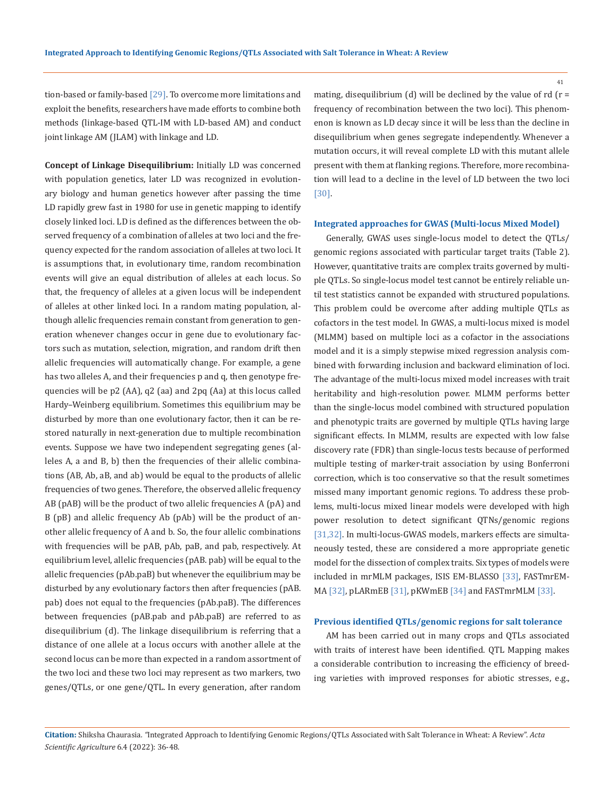41

tion-based or family-based [29]. To overcome more limitations and exploit the benefits, researchers have made efforts to combine both methods (linkage-based QTL-IM with LD-based AM) and conduct joint linkage AM (JLAM) with linkage and LD.

**Concept of Linkage Disequilibrium:** Initially LD was concerned with population genetics, later LD was recognized in evolutionary biology and human genetics however after passing the time LD rapidly grew fast in 1980 for use in genetic mapping to identify closely linked loci. LD is defined as the differences between the observed frequency of a combination of alleles at two loci and the frequency expected for the random association of alleles at two loci. It is assumptions that, in evolutionary time, random recombination events will give an equal distribution of alleles at each locus. So that, the frequency of alleles at a given locus will be independent of alleles at other linked loci. In a random mating population, although allelic frequencies remain constant from generation to generation whenever changes occur in gene due to evolutionary factors such as mutation, selection, migration, and random drift then allelic frequencies will automatically change. For example, a gene has two alleles A, and their frequencies p and q, then genotype frequencies will be p2 (AA), q2 (aa) and 2pq (Aa) at this locus called Hardy–Weinberg equilibrium. Sometimes this equilibrium may be disturbed by more than one evolutionary factor, then it can be restored naturally in next-generation due to multiple recombination events. Suppose we have two independent segregating genes (alleles A, a and B, b) then the frequencies of their allelic combinations (AB, Ab, aB, and ab) would be equal to the products of allelic frequencies of two genes. Therefore, the observed allelic frequency AB (pAB) will be the product of two allelic frequencies A (pA) and B (pB) and allelic frequency Ab (pAb) will be the product of another allelic frequency of A and b. So, the four allelic combinations with frequencies will be pAB, pAb, paB, and pab, respectively. At equilibrium level, allelic frequencies (pAB. pab) will be equal to the allelic frequencies (pAb.paB) but whenever the equilibrium may be disturbed by any evolutionary factors then after frequencies (pAB. pab) does not equal to the frequencies (pAb.paB). The differences between frequencies (pAB.pab and pAb.paB) are referred to as disequilibrium (d). The linkage disequilibrium is referring that a distance of one allele at a locus occurs with another allele at the second locus can be more than expected in a random assortment of the two loci and these two loci may represent as two markers, two genes/QTLs, or one gene/QTL. In every generation, after random

mating, disequilibrium (d) will be declined by the value of rd ( $r =$ frequency of recombination between the two loci). This phenomenon is known as LD decay since it will be less than the decline in disequilibrium when genes segregate independently. Whenever a mutation occurs, it will reveal complete LD with this mutant allele present with them at flanking regions. Therefore, more recombination will lead to a decline in the level of LD between the two loci [30].

#### **Integrated approaches for GWAS (Multi-locus Mixed Model)**

Generally, GWAS uses single-locus model to detect the QTLs/ genomic regions associated with particular target traits (Table 2). However, quantitative traits are complex traits governed by multiple QTLs. So single-locus model test cannot be entirely reliable until test statistics cannot be expanded with structured populations. This problem could be overcome after adding multiple QTLs as cofactors in the test model. In GWAS, a multi-locus mixed is model (MLMM) based on multiple loci as a cofactor in the associations model and it is a simply stepwise mixed regression analysis combined with forwarding inclusion and backward elimination of loci. The advantage of the multi-locus mixed model increases with trait heritability and high-resolution power. MLMM performs better than the single-locus model combined with structured population and phenotypic traits are governed by multiple QTLs having large significant effects. In MLMM, results are expected with low false discovery rate (FDR) than single-locus tests because of performed multiple testing of marker-trait association by using Bonferroni correction, which is too conservative so that the result sometimes missed many important genomic regions. To address these problems, multi-locus mixed linear models were developed with high power resolution to detect significant QTNs/genomic regions [31,32]. In multi-locus-GWAS models, markers effects are simultaneously tested, these are considered a more appropriate genetic model for the dissection of complex traits. Six types of models were included in mrMLM packages, ISIS EM-BLASSO [33], FASTmrEM-MA [32], pLARmEB [31], pKWmEB [34] and FASTmrMLM [33].

#### **Previous identified QTLs/genomic regions for salt tolerance**

AM has been carried out in many crops and QTLs associated with traits of interest have been identified. QTL Mapping makes a considerable contribution to increasing the efficiency of breeding varieties with improved responses for abiotic stresses, e.g.,

**Citation:** Shiksha Chaurasia*. "*Integrated Approach to Identifying Genomic Regions/QTLs Associated with Salt Tolerance in Wheat: A Review". *Acta Scientific Agriculture* 6.4 (2022): 36-48.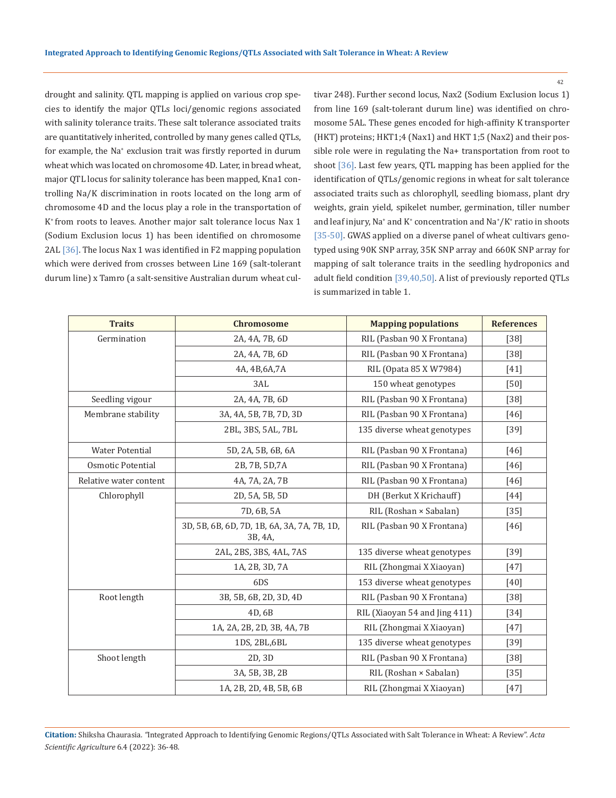drought and salinity. QTL mapping is applied on various crop species to identify the major QTLs loci/genomic regions associated with salinity tolerance traits. These salt tolerance associated traits are quantitatively inherited, controlled by many genes called QTLs, for example, the Na<sup>+</sup> exclusion trait was firstly reported in durum wheat which was located on chromosome 4D. Later, in bread wheat, major QTL locus for salinity tolerance has been mapped, Kna1 controlling Na/K discrimination in roots located on the long arm of chromosome 4D and the locus play a role in the transportation of K+ from roots to leaves. Another major salt tolerance locus Nax 1 (Sodium Exclusion locus 1) has been identified on chromosome 2AL [36]. The locus Nax 1 was identified in F2 mapping population which were derived from crosses between Line 169 (salt-tolerant durum line) x Tamro (a salt-sensitive Australian durum wheat cultivar 248). Further second locus, Nax2 (Sodium Exclusion locus 1) from line 169 (salt-tolerant durum line) was identified on chromosome 5AL. These genes encoded for high-affinity K transporter (HKT) proteins; HKT1;4 (Nax1) and HKT 1;5 (Nax2) and their possible role were in regulating the Na+ transportation from root to shoot [36]. Last few years, QTL mapping has been applied for the identification of QTLs/genomic regions in wheat for salt tolerance associated traits such as chlorophyll, seedling biomass, plant dry weights, grain yield, spikelet number, germination, tiller number and leaf injury,  $\text{Na}^{\text{*}}$  and  $\text{K}^{\text{*}}$  concentration and  $\text{Na}^{\text{*}}/\text{K}^{\text{*}}$  ratio in shoots [35-50]. GWAS applied on a diverse panel of wheat cultivars genotyped using 90K SNP array, 35K SNP array and 660K SNP array for mapping of salt tolerance traits in the seedling hydroponics and adult field condition [39,40,50]. A list of previously reported QTLs is summarized in table 1.

| <b>Traits</b>          | <b>Chromosome</b>                                      | <b>Mapping populations</b>    | <b>References</b> |
|------------------------|--------------------------------------------------------|-------------------------------|-------------------|
| Germination            | 2A, 4A, 7B, 6D                                         | RIL (Pasban 90 X Frontana)    | $[38]$            |
|                        | 2A, 4A, 7B, 6D                                         | RIL (Pasban 90 X Frontana)    | $[38]$            |
|                        | 4A, 4B, 6A, 7A                                         | RIL (Opata 85 X W7984)        | [41]              |
|                        | 3AL                                                    | 150 wheat genotypes           | [50]              |
| Seedling vigour        | 2A, 4A, 7B, 6D                                         | RIL (Pasban 90 X Frontana)    | $[38]$            |
| Membrane stability     | 3A, 4A, 5B, 7B, 7D, 3D                                 | RIL (Pasban 90 X Frontana)    | $[46]$            |
|                        | 2BL, 3BS, 5AL, 7BL                                     | 135 diverse wheat genotypes   | $[39]$            |
| <b>Water Potential</b> | 5D, 2A, 5B, 6B, 6A                                     | RIL (Pasban 90 X Frontana)    | [46]              |
| Osmotic Potential      | 2B, 7B, 5D, 7A                                         | RIL (Pasban 90 X Frontana)    | $[46]$            |
| Relative water content | 4A, 7A, 2A, 7B                                         | RIL (Pasban 90 X Frontana)    | [46]              |
| Chlorophyll            | 2D, 5A, 5B, 5D                                         | DH (Berkut X Krichauff)       | $[44]$            |
|                        | 7D, 6B, 5A                                             | RIL (Roshan × Sabalan)        | $[35]$            |
|                        | 3D, 5B, 6B, 6D, 7D, 1B, 6A, 3A, 7A, 7B, 1D,<br>3B, 4A, | RIL (Pasban 90 X Frontana)    | $[46]$            |
|                        | 2AL, 2BS, 3BS, 4AL, 7AS                                | 135 diverse wheat genotypes   | $[39]$            |
|                        | 1A, 2B, 3D, 7A                                         | RIL (Zhongmai X Xiaoyan)      | [47]              |
|                        | 6DS                                                    | 153 diverse wheat genotypes   | [40]              |
| Root length            | 3B, 5B, 6B, 2D, 3D, 4D                                 | RIL (Pasban 90 X Frontana)    | $[38]$            |
|                        | 4D, 6B                                                 | RIL (Xiaoyan 54 and Jing 411) | $[34]$            |
|                        | 1A, 2A, 2B, 2D, 3B, 4A, 7B                             | RIL (Zhongmai X Xiaoyan)      | [47]              |
|                        | 1DS, 2BL, 6BL                                          | 135 diverse wheat genotypes   | $[39]$            |
| Shoot length           | 2D, 3D                                                 | RIL (Pasban 90 X Frontana)    | $[38]$            |
|                        | 3A, 5B, 3B, 2B                                         | RIL (Roshan × Sabalan)        | $[35]$            |
|                        | 1A, 2B, 2D, 4B, 5B, 6B                                 | RIL (Zhongmai X Xiaoyan)      | $[47]$            |

**Citation:** Shiksha Chaurasia*. "*Integrated Approach to Identifying Genomic Regions/QTLs Associated with Salt Tolerance in Wheat: A Review". *Acta Scientific Agriculture* 6.4 (2022): 36-48.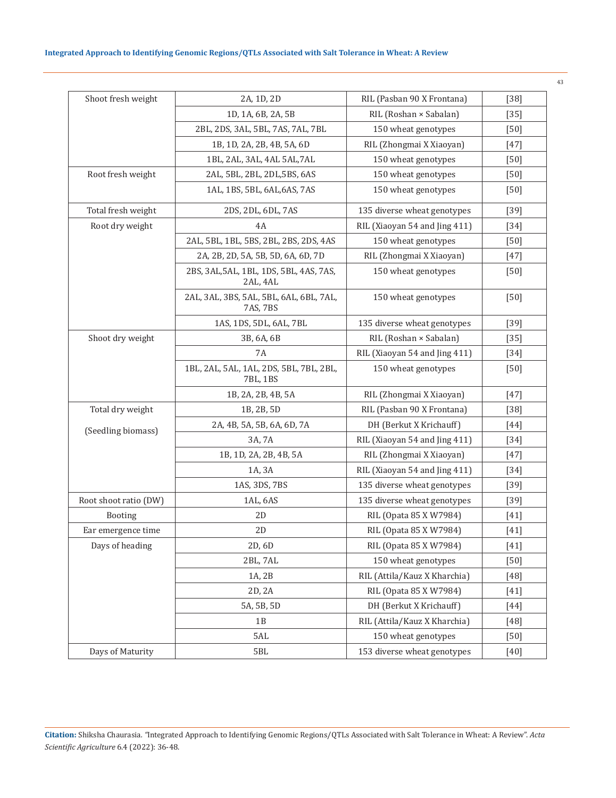# **Integrated Approach to Identifying Genomic Regions/QTLs Associated with Salt Tolerance in Wheat: A Review**

| Shoot fresh weight    | 2A, 1D, 2D                                          | RIL (Pasban 90 X Frontana)    | $[38]$ |
|-----------------------|-----------------------------------------------------|-------------------------------|--------|
|                       | 1D, 1A, 6B, 2A, 5B                                  | RIL (Roshan × Sabalan)        | $[35]$ |
|                       | 2BL, 2DS, 3AL, 5BL, 7AS, 7AL, 7BL                   | 150 wheat genotypes           | $[50]$ |
|                       | 1B, 1D, 2A, 2B, 4B, 5A, 6D                          | RIL (Zhongmai X Xiaoyan)      | $[47]$ |
|                       | 1BL, 2AL, 3AL, 4AL 5AL, 7AL                         | 150 wheat genotypes           | $[50]$ |
| Root fresh weight     | 2AL, 5BL, 2BL, 2DL, 5BS, 6AS                        | 150 wheat genotypes           | $[50]$ |
|                       | 1AL, 1BS, 5BL, 6AL, 6AS, 7AS                        | 150 wheat genotypes           | $[50]$ |
| Total fresh weight    | 2DS, 2DL, 6DL, 7AS                                  | 135 diverse wheat genotypes   | $[39]$ |
| Root dry weight       | 4A                                                  | RIL (Xiaoyan 54 and Jing 411) | $[34]$ |
|                       | 2AL, 5BL, 1BL, 5BS, 2BL, 2BS, 2DS, 4AS              | 150 wheat genotypes           | [50]   |
|                       | 2A, 2B, 2D, 5A, 5B, 5D, 6A, 6D, 7D                  | RIL (Zhongmai X Xiaoyan)      | $[47]$ |
|                       | 2BS, 3AL, 5AL, 1BL, 1DS, 5BL, 4AS, 7AS,<br>2AL, 4AL | 150 wheat genotypes           | $[50]$ |
|                       | 2AL, 3AL, 3BS, 5AL, 5BL, 6AL, 6BL, 7AL,<br>7AS, 7BS | 150 wheat genotypes           | $[50]$ |
|                       | 1AS, 1DS, 5DL, 6AL, 7BL                             | 135 diverse wheat genotypes   | $[39]$ |
| Shoot dry weight      | 3B, 6A, 6B                                          | RIL (Roshan × Sabalan)        | $[35]$ |
|                       | <b>7A</b>                                           | RIL (Xiaoyan 54 and Jing 411) | $[34]$ |
|                       | 1BL, 2AL, 5AL, 1AL, 2DS, 5BL, 7BL, 2BL,<br>7BL, 1BS | 150 wheat genotypes           | $[50]$ |
|                       | 1B, 2A, 2B, 4B, 5A                                  | RIL (Zhongmai X Xiaoyan)      | $[47]$ |
| Total dry weight      | 1B, 2B, 5D                                          | RIL (Pasban 90 X Frontana)    | $[38]$ |
|                       | 2A, 4B, 5A, 5B, 6A, 6D, 7A                          | DH (Berkut X Krichauff)       | $[44]$ |
| (Seedling biomass)    | 3A, 7A                                              | RIL (Xiaoyan 54 and Jing 411) | $[34]$ |
|                       | 1B, 1D, 2A, 2B, 4B, 5A                              | RIL (Zhongmai X Xiaoyan)      | $[47]$ |
|                       | 1A, 3A                                              | RIL (Xiaoyan 54 and Jing 411) | $[34]$ |
|                       | 1AS, 3DS, 7BS                                       | 135 diverse wheat genotypes   | $[39]$ |
| Root shoot ratio (DW) | 1AL, 6AS                                            | 135 diverse wheat genotypes   | $[39]$ |
| Booting               | 2D                                                  | RIL (Opata 85 X W7984)        | $[41]$ |
| Ear emergence time    | 2D                                                  | RIL (Opata 85 X W7984)        | $[41]$ |
| Days of heading       | 2D, 6D                                              | RIL (Opata 85 X W7984)        | $[41]$ |
|                       | 2BL, 7AL                                            | 150 wheat genotypes           | $[50]$ |
|                       | 1A, 2B                                              | RIL (Attila/Kauz X Kharchia)  | $[48]$ |
|                       | 2D, 2A                                              | RIL (Opata 85 X W7984)        | $[41]$ |
|                       | 5A, 5B, 5D                                          | DH (Berkut X Krichauff)       | $[44]$ |
|                       | 1B                                                  | RIL (Attila/Kauz X Kharchia)  | $[48]$ |
|                       | 5AL                                                 | 150 wheat genotypes           | $[50]$ |
| Days of Maturity      | 5BL                                                 | 153 diverse wheat genotypes   | $[40]$ |

**Citation:** Shiksha Chaurasia*. "*Integrated Approach to Identifying Genomic Regions/QTLs Associated with Salt Tolerance in Wheat: A Review". *Acta Scientific Agriculture* 6.4 (2022): 36-48.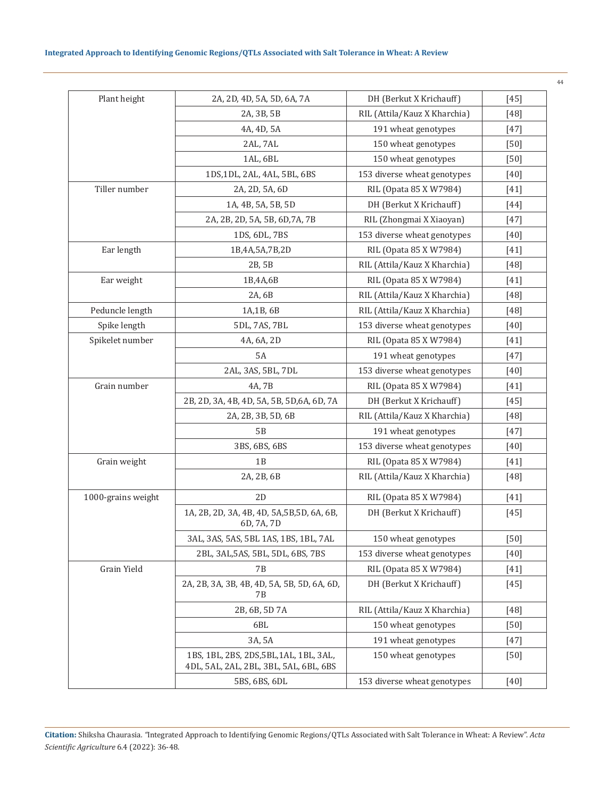| Plant height       | 2A, 2D, 4D, 5A, 5D, 6A, 7A                                                        | DH (Berkut X Krichauff)      | $[45]$ |
|--------------------|-----------------------------------------------------------------------------------|------------------------------|--------|
|                    | 2A, 3B, 5B                                                                        | RIL (Attila/Kauz X Kharchia) | $[48]$ |
|                    | 4A, 4D, 5A                                                                        | 191 wheat genotypes          | $[47]$ |
|                    | 2AL, 7AL                                                                          | 150 wheat genotypes          | [50]   |
|                    | 1AL, 6BL                                                                          | 150 wheat genotypes          | $[50]$ |
|                    | 1DS, 1DL, 2AL, 4AL, 5BL, 6BS                                                      | 153 diverse wheat genotypes  | $[40]$ |
| Tiller number      | 2A, 2D, 5A, 6D                                                                    | RIL (Opata 85 X W7984)       | $[41]$ |
|                    | 1A, 4B, 5A, 5B, 5D                                                                | DH (Berkut X Krichauff)      | $[44]$ |
|                    | 2A, 2B, 2D, 5A, 5B, 6D, 7A, 7B                                                    | RIL (Zhongmai X Xiaoyan)     | $[47]$ |
|                    | 1DS, 6DL, 7BS                                                                     | 153 diverse wheat genotypes  | $[40]$ |
| Ear length         | 1B,4A,5A,7B,2D                                                                    | RIL (Opata 85 X W7984)       | $[41]$ |
|                    | 2B, 5B                                                                            | RIL (Attila/Kauz X Kharchia) | $[48]$ |
| Ear weight         | 1B,4A,6B                                                                          | RIL (Opata 85 X W7984)       | $[41]$ |
|                    | 2A, 6B                                                                            | RIL (Attila/Kauz X Kharchia) | $[48]$ |
| Peduncle length    | 1A,1B, 6B                                                                         | RIL (Attila/Kauz X Kharchia) | $[48]$ |
| Spike length       | 5DL, 7AS, 7BL                                                                     | 153 diverse wheat genotypes  | $[40]$ |
| Spikelet number    | 4A, 6A, 2D                                                                        | RIL (Opata 85 X W7984)       | $[41]$ |
|                    | <b>5A</b>                                                                         | 191 wheat genotypes          | $[47]$ |
|                    | 2AL, 3AS, 5BL, 7DL                                                                | 153 diverse wheat genotypes  | $[40]$ |
| Grain number       | 4A, 7B                                                                            | RIL (Opata 85 X W7984)       | $[41]$ |
|                    | 2B, 2D, 3A, 4B, 4D, 5A, 5B, 5D, 6A, 6D, 7A                                        | DH (Berkut X Krichauff)      | $[45]$ |
|                    | 2A, 2B, 3B, 5D, 6B                                                                | RIL (Attila/Kauz X Kharchia) | $[48]$ |
|                    | 5B                                                                                | 191 wheat genotypes          | $[47]$ |
|                    | 3BS, 6BS, 6BS                                                                     | 153 diverse wheat genotypes  | $[40]$ |
| Grain weight       | 1B                                                                                | RIL (Opata 85 X W7984)       | $[41]$ |
|                    | 2A, 2B, 6B                                                                        | RIL (Attila/Kauz X Kharchia) | $[48]$ |
| 1000-grains weight | 2D                                                                                | RIL (Opata 85 X W7984)       | $[41]$ |
|                    | 1A, 2B, 2D, 3A, 4B, 4D, 5A, 5B, 5D, 6A, 6B,<br>6D, 7A, 7D                         | DH (Berkut X Krichauff)      | $[45]$ |
|                    | 3AL, 3AS, 5AS, 5BL 1AS, 1BS, 1BL, 7AL                                             | 150 wheat genotypes          | $[50]$ |
|                    | 2BL, 3AL, 5AS, 5BL, 5DL, 6BS, 7BS                                                 | 153 diverse wheat genotypes  | $[40]$ |
| Grain Yield        | 7Β                                                                                | RIL (Opata 85 X W7984)       | $[41]$ |
|                    | 2A, 2B, 3A, 3B, 4B, 4D, 5A, 5B, 5D, 6A, 6D,<br>7В                                 | DH (Berkut X Krichauff)      | $[45]$ |
|                    | 2B, 6B, 5D 7A                                                                     | RIL (Attila/Kauz X Kharchia) | [48]   |
|                    | 6BL                                                                               | 150 wheat genotypes          | $[50]$ |
|                    | 3A, 5A                                                                            | 191 wheat genotypes          | $[47]$ |
|                    | 1BS, 1BL, 2BS, 2DS, 5BL, 1AL, 1BL, 3AL,<br>4DL, 5AL, 2AL, 2BL, 3BL, 5AL, 6BL, 6BS | 150 wheat genotypes          | [50]   |
|                    | 5BS, 6BS, 6DL                                                                     | 153 diverse wheat genotypes  | $[40]$ |

**Citation:** Shiksha Chaurasia*. "*Integrated Approach to Identifying Genomic Regions/QTLs Associated with Salt Tolerance in Wheat: A Review". *Acta Scientific Agriculture* 6.4 (2022): 36-48.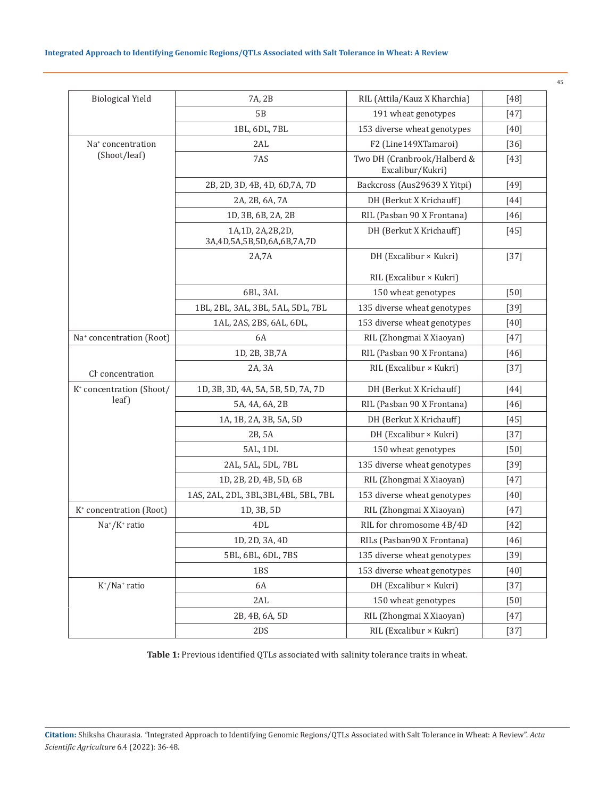| <b>Biological Yield</b>               | 7A, 2B                                         | RIL (Attila/Kauz X Kharchia)                    | $[48]$ |
|---------------------------------------|------------------------------------------------|-------------------------------------------------|--------|
|                                       | 5B                                             | 191 wheat genotypes                             | [47]   |
|                                       | 1BL, 6DL, 7BL                                  | 153 diverse wheat genotypes                     | $[40]$ |
| Na <sup>+</sup> concentration         | 2AL                                            | F2 (Line149XTamaroi)                            | $[36]$ |
| (Shoot/leaf)                          | 7AS                                            | Two DH (Cranbrook/Halberd &<br>Excalibur/Kukri) | $[43]$ |
|                                       | 2B, 2D, 3D, 4B, 4D, 6D, 7A, 7D                 | Backcross (Aus29639 X Yitpi)                    | $[49]$ |
|                                       | 2A, 2B, 6A, 7A                                 | DH (Berkut X Krichauff)                         | [44]   |
|                                       | 1D, 3B, 6B, 2A, 2B                             | RIL (Pasban 90 X Frontana)                      | $[46]$ |
|                                       | 1A,1D, 2A,2B,2D,<br>3A,4D,5A,5B,5D,6A,6B,7A,7D | DH (Berkut X Krichauff)                         | $[45]$ |
|                                       | 2A,7A                                          | DH (Excalibur × Kukri)                          | $[37]$ |
|                                       |                                                | RIL (Excalibur × Kukri)                         |        |
|                                       | 6BL, 3AL                                       | 150 wheat genotypes                             | $[50]$ |
|                                       | 1BL, 2BL, 3AL, 3BL, 5AL, 5DL, 7BL              | 135 diverse wheat genotypes                     | $[39]$ |
|                                       | 1AL, 2AS, 2BS, 6AL, 6DL,                       | 153 diverse wheat genotypes                     | $[40]$ |
| Na <sup>+</sup> concentration (Root)  | 6A                                             | RIL (Zhongmai X Xiaoyan)                        | $[47]$ |
|                                       | 1D, 2B, 3B, 7A                                 | RIL (Pasban 90 X Frontana)                      | $[46]$ |
| Cl concentration                      | 2A, 3A                                         | RIL (Excalibur × Kukri)                         | $[37]$ |
| K <sup>+</sup> concentration (Shoot/  | 1D, 3B, 3D, 4A, 5A, 5B, 5D, 7A, 7D             | DH (Berkut X Krichauff)                         | [44]   |
| leaf)                                 | 5A, 4A, 6A, 2B                                 | RIL (Pasban 90 X Frontana)                      | [46]   |
|                                       | 1A, 1B, 2A, 3B, 5A, 5D                         | DH (Berkut X Krichauff)                         | $[45]$ |
|                                       | 2B, 5A                                         | DH (Excalibur × Kukri)                          | $[37]$ |
|                                       | 5AL, 1DL                                       | 150 wheat genotypes                             | $[50]$ |
|                                       | 2AL, 5AL, 5DL, 7BL                             | 135 diverse wheat genotypes                     | $[39]$ |
|                                       | 1D, 2B, 2D, 4B, 5D, 6B                         | RIL (Zhongmai X Xiaoyan)                        | [47]   |
|                                       | 1AS, 2AL, 2DL, 3BL, 3BL, 4BL, 5BL, 7BL         | 153 diverse wheat genotypes                     | $[40]$ |
| K <sup>+</sup> concentration (Root)   | 1D, 3B, 5D                                     | RIL (Zhongmai X Xiaoyan)                        | [47]   |
| $Na^*/K^+$ ratio                      | 4DL                                            | RIL for chromosome 4B/4D                        | $[42]$ |
|                                       | 1D, 2D, 3A, 4D                                 | RILs (Pasban90 X Frontana)                      | $[46]$ |
|                                       | 5BL, 6BL, 6DL, 7BS                             | 135 diverse wheat genotypes                     | $[39]$ |
|                                       | 1BS                                            | 153 diverse wheat genotypes                     | $[40]$ |
| K <sup>+</sup> /Na <sup>+</sup> ratio | 6A                                             | DH (Excalibur × Kukri)                          | $[37]$ |
|                                       | 2AL                                            | 150 wheat genotypes                             | $[50]$ |
|                                       | 2B, 4B, 6A, 5D                                 | RIL (Zhongmai X Xiaoyan)                        | $[47]$ |
|                                       | 2DS                                            | RIL (Excalibur × Kukri)                         | $[37]$ |

**Table 1:** Previous identified QTLs associated with salinity tolerance traits in wheat.

**Citation:** Shiksha Chaurasia*. "*Integrated Approach to Identifying Genomic Regions/QTLs Associated with Salt Tolerance in Wheat: A Review". *Acta Scientific Agriculture* 6.4 (2022): 36-48.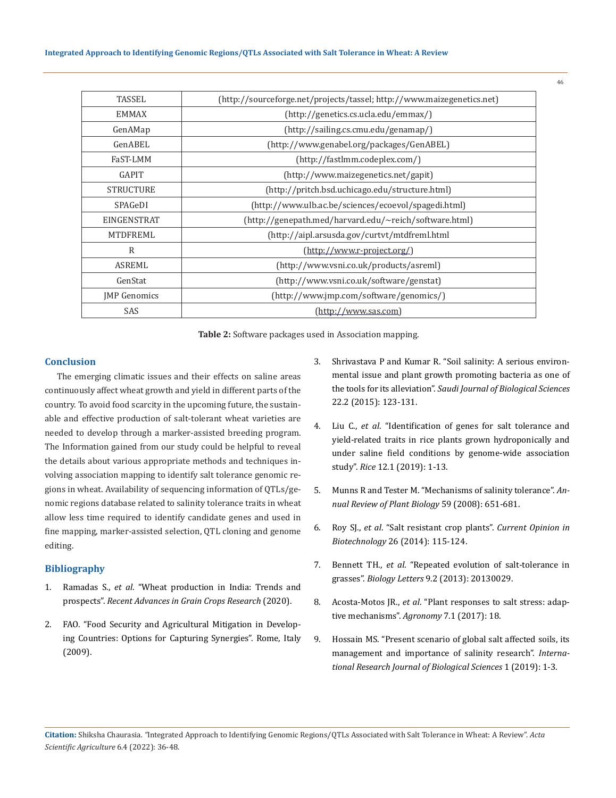| (http://sourceforge.net/projects/tassel; http://www.maizegenetics.net) |  |
|------------------------------------------------------------------------|--|
| (http://genetics.cs.ucla.edu/emmax/)                                   |  |
| (http://sailing.cs.cmu.edu/genamp/)                                    |  |
| (http://www.genabel.org/packages/GenABEL)                              |  |
| (http://fastlmm.codeplex.com/)                                         |  |
| (http://www.maizegenetics.net/gapit)                                   |  |
| (http://pritch.bsd.uchicago.edu/structure.html)                        |  |
| (http://www.ulb.ac.be/sciences/ecoevol/spagedi.html)                   |  |
| (http://genepath.med/harvard.edu/~reich/software.html)                 |  |
| (http://aipl.arsusda.gov/curtvt/mtdfreml.html                          |  |
| $(\text{http://www.r-project.org/})$                                   |  |
| (http://www.vsni.co.uk/products/asreml)                                |  |
| (http://www.vsni.co.uk/software/genstat)                               |  |
| (http://www.jmp.com/software/genomics/)                                |  |
| (http://www.sas.com)                                                   |  |
|                                                                        |  |

**Table 2:** Software packages used in Association mapping.

#### **Conclusion**

The emerging climatic issues and their effects on saline areas continuously affect wheat growth and yield in different parts of the country. To avoid food scarcity in the upcoming future, the sustainable and effective production of salt-tolerant wheat varieties are needed to develop through a marker-assisted breeding program. The Information gained from our study could be helpful to reveal the details about various appropriate methods and techniques involving association mapping to identify salt tolerance genomic regions in wheat. Availability of sequencing information of QTLs/genomic regions database related to salinity tolerance traits in wheat allow less time required to identify candidate genes and used in fine mapping, marker-assisted selection, QTL cloning and genome editing.

# **Bibliography**

- 1. Ramadas S., *et al*[. "Wheat production in India: Trends and](https://www.intechopen.com/chapters/67311)  prospects". *[Recent Advances in Grain Crops Research](https://www.intechopen.com/chapters/67311)* (2020).
- 2. [FAO. "Food Security and Agricultural Mitigation in Develop](https://www.researchgate.net/publication/283569057_Food_Security_and_Agricultural_Mitigation_in_developing_Countries_Options_for_Capturing_Synergies)[ing Countries: Options for Capturing Synergies". Rome, Italy](https://www.researchgate.net/publication/283569057_Food_Security_and_Agricultural_Mitigation_in_developing_Countries_Options_for_Capturing_Synergies)  [\(2009\).](https://www.researchgate.net/publication/283569057_Food_Security_and_Agricultural_Mitigation_in_developing_Countries_Options_for_Capturing_Synergies)
- 3. [Shrivastava P and Kumar R. "Soil salinity: A serious environ](https://www.sciencedirect.com/science/article/pii/S1319562X14001715)[mental issue and plant growth promoting bacteria as one of](https://www.sciencedirect.com/science/article/pii/S1319562X14001715)  the tools for its alleviation". *[Saudi Journal of Biological Sciences](https://www.sciencedirect.com/science/article/pii/S1319562X14001715)* [22.2 \(2015\): 123-131.](https://www.sciencedirect.com/science/article/pii/S1319562X14001715)
- 4. Liu C., *et al*[. "Identification of genes for salt tolerance and](https://www.ncbi.nlm.nih.gov/pmc/articles/PMC6889114/)  [yield-related traits in rice plants grown hydroponically and](https://www.ncbi.nlm.nih.gov/pmc/articles/PMC6889114/)  [under saline field conditions by genome-wide association](https://www.ncbi.nlm.nih.gov/pmc/articles/PMC6889114/)  study". *Rice* [12.1 \(2019\): 1-13.](https://www.ncbi.nlm.nih.gov/pmc/articles/PMC6889114/)
- 5. [Munns R and Tester M. "Mechanisms of salinity tolerance".](https://pubmed.ncbi.nlm.nih.gov/18444910/) *An[nual Review of Plant Biology](https://pubmed.ncbi.nlm.nih.gov/18444910/)* 59 (2008): 651-681.
- 6. Roy SJ., *et al*[. "Salt resistant crop plants".](https://www.sciencedirect.com/science/article/pii/S0958166913007192) *Current Opinion in Biotechnology* [26 \(2014\): 115-124.](https://www.sciencedirect.com/science/article/pii/S0958166913007192)
- 7. Bennett TH., *et al*[. "Repeated evolution of salt-tolerance in](https://www.researchgate.net/publication/235749478_Repeated_evolution_of_salt-tolerance_in_grasses)  grasses". *Biology Letters* [9.2 \(2013\): 20130029.](https://www.researchgate.net/publication/235749478_Repeated_evolution_of_salt-tolerance_in_grasses)
- 8. Acosta-Motos JR., *et al*[. "Plant responses to salt stress: adap](https://www.researchgate.net/publication/313953727_Plant_Responses_to_Salt_Stress_Adaptive_Mechanisms)[tive mechanisms".](https://www.researchgate.net/publication/313953727_Plant_Responses_to_Salt_Stress_Adaptive_Mechanisms) *Agronomy* 7.1 (2017): 18.
- 9. [Hossain MS. "Present scenario of global salt affected soils, its](https://www.researchgate.net/publication/334773002_Present_Scenario_of_Global_Salt_Affected_Soils_its_Management_and_Importance_of_Salinity_Research)  [management and importance of salinity research".](https://www.researchgate.net/publication/334773002_Present_Scenario_of_Global_Salt_Affected_Soils_its_Management_and_Importance_of_Salinity_Research) *Interna[tional Research Journal of Biological Sciences](https://www.researchgate.net/publication/334773002_Present_Scenario_of_Global_Salt_Affected_Soils_its_Management_and_Importance_of_Salinity_Research)* 1 (2019): 1-3.

**Citation:** Shiksha Chaurasia*. "*Integrated Approach to Identifying Genomic Regions/QTLs Associated with Salt Tolerance in Wheat: A Review". *Acta Scientific Agriculture* 6.4 (2022): 36-48.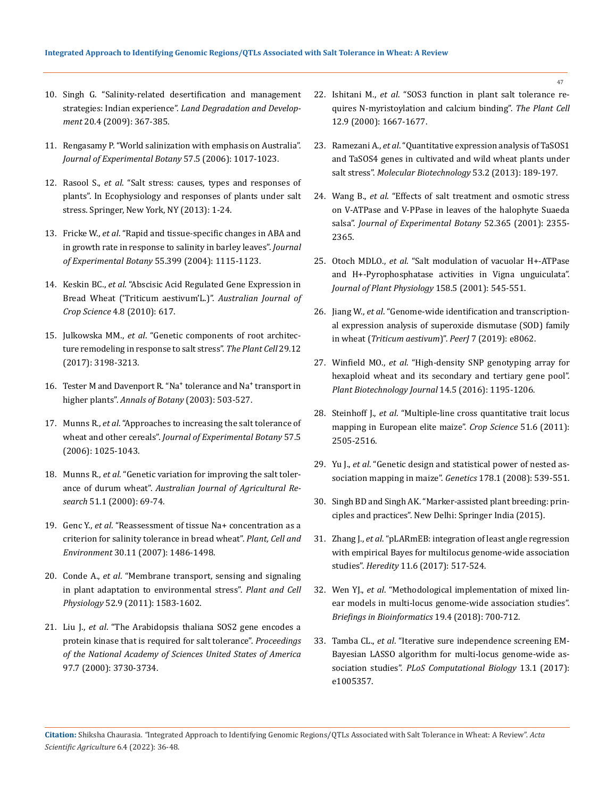- 10. [Singh G. "Salinity‐related desertification and management](https://www.researchgate.net/publication/227884049_Salinity-related_desertification_and_management_strategies_Indian_experience)  strategies: Indian experience". *[Land Degradation and Develop](https://www.researchgate.net/publication/227884049_Salinity-related_desertification_and_management_strategies_Indian_experience)ment* [20.4 \(2009\): 367-385.](https://www.researchgate.net/publication/227884049_Salinity-related_desertification_and_management_strategies_Indian_experience)
- 11. [Rengasamy P. "World salinization with emphasis on Australia".](https://pubmed.ncbi.nlm.nih.gov/16510516/)  *[Journal of Experimental Botany](https://pubmed.ncbi.nlm.nih.gov/16510516/)* 57.5 (2006): 1017-1023.
- 12. Rasool S., *et al*[. "Salt stress: causes, types and responses of](https://link.springer.com/chapter/10.1007/978-1-4614-4747-4_1)  [plants". In Ecophysiology and responses of plants under salt](https://link.springer.com/chapter/10.1007/978-1-4614-4747-4_1)  [stress. Springer, New York, NY \(2013\): 1-24.](https://link.springer.com/chapter/10.1007/978-1-4614-4747-4_1)
- 13. Fricke W., *et al*. "[Rapid and tissue‐specific changes in ABA and](https://pubmed.ncbi.nlm.nih.gov/15047763/)  [in growth rate in response to salinity in barley leaves".](https://pubmed.ncbi.nlm.nih.gov/15047763/) *Journal [of Experimental Botany](https://pubmed.ncbi.nlm.nih.gov/15047763/)* 55.399 (2004): 1115-1123.
- 14. Keskin BC., *et al*[. "Abscisic Acid Regulated Gene Expression in](https://www.researchgate.net/publication/228472865_Abscisic_acid_regulated_gene_expression_in_bread_wheat_Triticum_aestivum_L)  [Bread Wheat \('Triticum aestivum'L.\)".](https://www.researchgate.net/publication/228472865_Abscisic_acid_regulated_gene_expression_in_bread_wheat_Triticum_aestivum_L) *Australian Journal of Crop Science* [4.8 \(2010\): 617.](https://www.researchgate.net/publication/228472865_Abscisic_acid_regulated_gene_expression_in_bread_wheat_Triticum_aestivum_L)
- 15. Julkowska MM., *et al*[. "Genetic components of root architec](https://pubmed.ncbi.nlm.nih.gov/29114015/)[ture remodeling in response to salt stress".](https://pubmed.ncbi.nlm.nih.gov/29114015/) *The Plant Cell* 29.12 [\(2017\): 3198-3213.](https://pubmed.ncbi.nlm.nih.gov/29114015/)
- 16. Tester M and Davenport R. "Na<sup>+</sup> tolerance and Na<sup>+</sup> transport in higher plants". *[Annals of Botany](https://pubmed.ncbi.nlm.nih.gov/12646496/)* (2003): 503-527.
- 17. Munns R., *et al*[. "Approaches to increasing the salt tolerance of](https://pubmed.ncbi.nlm.nih.gov/16510517/)  wheat and other cereals". *[Journal of Experimental Botany](https://pubmed.ncbi.nlm.nih.gov/16510517/)* 57.5 [\(2006\): 1025-1043.](https://pubmed.ncbi.nlm.nih.gov/16510517/)
- 18. Munns R., *et al*[. "Genetic variation for improving the salt toler](https://www.researchgate.net/publication/262957807_Genetic_Variation_for_Improving_the_Salt_Tolerance_of_Durum_Wheat)ance of durum wheat". *[Australian Journal of Agricultural Re](https://www.researchgate.net/publication/262957807_Genetic_Variation_for_Improving_the_Salt_Tolerance_of_Durum_Wheat)search* [51.1 \(2000\): 69-74.](https://www.researchgate.net/publication/262957807_Genetic_Variation_for_Improving_the_Salt_Tolerance_of_Durum_Wheat)
- 19. Genc Y., *et al*[. "Reassessment of tissue Na+ concentration as a](https://pubmed.ncbi.nlm.nih.gov/17897418/)  [criterion for salinity tolerance in bread wheat".](https://pubmed.ncbi.nlm.nih.gov/17897418/) *Plant, Cell and Environment* [30.11 \(2007\): 1486-1498.](https://pubmed.ncbi.nlm.nih.gov/17897418/)
- 20. Conde A., *et al*[. "Membrane transport, sensing and signaling](https://pubmed.ncbi.nlm.nih.gov/21828102/)  [in plant adaptation to environmental stress".](https://pubmed.ncbi.nlm.nih.gov/21828102/) *Plant and Cell Physiology* [52.9 \(2011\): 1583-1602.](https://pubmed.ncbi.nlm.nih.gov/21828102/)
- 21. Liu J., *et al*[. "The Arabidopsis thaliana SOS2 gene encodes a](https://pubmed.ncbi.nlm.nih.gov/10725382/)  [protein kinase that is required for salt tolerance".](https://pubmed.ncbi.nlm.nih.gov/10725382/) *Proceedings [of the National Academy of Sciences](https://pubmed.ncbi.nlm.nih.gov/10725382/) United States of America* [97.7 \(2000\): 3730-3734.](https://pubmed.ncbi.nlm.nih.gov/10725382/)
- 22. Ishitani M., *et al*[. "SOS3 function in plant salt tolerance re](https://www.researchgate.net/publication/12317935_SOS3_Function_in_Plant_Salt_Tolerance_Requires_N-Myristoylation_and_Calcium_Binding)[quires N-myristoylation and calcium binding".](https://www.researchgate.net/publication/12317935_SOS3_Function_in_Plant_Salt_Tolerance_Requires_N-Myristoylation_and_Calcium_Binding) *The Plant Cell* [12.9 \(2000\): 1667-1677.](https://www.researchgate.net/publication/12317935_SOS3_Function_in_Plant_Salt_Tolerance_Requires_N-Myristoylation_and_Calcium_Binding)
- 23. Ramezani A., *et al*[. "Quantitative expression analysis of TaSOS1](https://pubmed.ncbi.nlm.nih.gov/22367644/)  [and TaSOS4 genes in cultivated and wild wheat plants under](https://pubmed.ncbi.nlm.nih.gov/22367644/)  salt stress". *[Molecular Biotechnology](https://pubmed.ncbi.nlm.nih.gov/22367644/)* 53.2 (2013): 189-197.
- 24. Wang B., *et al*[. "Effects of salt treatment and osmotic stress](https://pubmed.ncbi.nlm.nih.gov/11709585/)  [on V-ATPase and V-PPase in leaves of the halophyte Suaeda](https://pubmed.ncbi.nlm.nih.gov/11709585/)  salsa". *[Journal of Experimental Botany](https://pubmed.ncbi.nlm.nih.gov/11709585/)* 52.365 (2001): 2355- [2365.](https://pubmed.ncbi.nlm.nih.gov/11709585/)
- 25. Otoch MDLO., *et al*[. "Salt modulation of vacuolar H+-ATPase](https://www.researchgate.net/publication/222930602_Salt_modulation_of_vacuolar_H-ATPase_and_H-Pyrophosphatase_activities_in_Vigna_unguiculata)  [and H+-Pyrophosphatase activities in Vigna unguiculata".](https://www.researchgate.net/publication/222930602_Salt_modulation_of_vacuolar_H-ATPase_and_H-Pyrophosphatase_activities_in_Vigna_unguiculata)  *[Journal of Plant Physiology](https://www.researchgate.net/publication/222930602_Salt_modulation_of_vacuolar_H-ATPase_and_H-Pyrophosphatase_activities_in_Vigna_unguiculata)* 158.5 (2001): 545-551.
- 26. Jiang W., *et al*[. "Genome-wide identification and transcription](https://pubmed.ncbi.nlm.nih.gov/31763072/)[al expression analysis of superoxide dismutase \(SOD\) family](https://pubmed.ncbi.nlm.nih.gov/31763072/)  in wheat (*[Triticum aestivum](https://pubmed.ncbi.nlm.nih.gov/31763072/)*)". *PeerJ* 7 (2019): e8062.
- 27. Winfield MO., *et al*[. "High-density SNP genotyping array for](https://pubmed.ncbi.nlm.nih.gov/26466852/)  [hexaploid wheat and its secondary and tertiary gene pool".](https://pubmed.ncbi.nlm.nih.gov/26466852/)  *[Plant Biotechnology Journal](https://pubmed.ncbi.nlm.nih.gov/26466852/)* 14.5 (2016): 1195-1206.
- 28. Steinhoff J., *et al*[. "Multiple-line cross quantitative trait locus](https://www.researchgate.net/publication/277536164_Multiple-Line_Cross_Quantitative_Trait_Locus_Mapping_in_European_Elite_Maize)  [mapping in European elite maize".](https://www.researchgate.net/publication/277536164_Multiple-Line_Cross_Quantitative_Trait_Locus_Mapping_in_European_Elite_Maize) *Crop Science* 51.6 (2011): [2505-2516.](https://www.researchgate.net/publication/277536164_Multiple-Line_Cross_Quantitative_Trait_Locus_Mapping_in_European_Elite_Maize)
- 29. Yu J., *et al*[. "Genetic design and statistical power of nested as](https://pubmed.ncbi.nlm.nih.gov/18202393/)[sociation mapping in maize".](https://pubmed.ncbi.nlm.nih.gov/18202393/) *Genetics* 178.1 (2008): 539-551.
- 30. [Singh BD and Singh AK. "Marker-assisted plant breeding: prin](https://link.springer.com/book/10.1007/978-81-322-2316-0)[ciples and practices". New Delhi: Springer India \(2015\).](https://link.springer.com/book/10.1007/978-81-322-2316-0)
- 31. Zhang J., *et al*[. "pLARmEB: integration of least angle regression](https://pubmed.ncbi.nlm.nih.gov/28295030/)  [with empirical Bayes for multilocus genome-wide association](https://pubmed.ncbi.nlm.nih.gov/28295030/)  studies". *Heredity* [11.6 \(2017\): 517-524.](https://pubmed.ncbi.nlm.nih.gov/28295030/)
- 32. Wen YJ., *et al*[. "Methodological implementation of mixed lin](https://pubmed.ncbi.nlm.nih.gov/28158525/)[ear models in multi-locus genome-wide association studies".](https://pubmed.ncbi.nlm.nih.gov/28158525/)  *[Briefings in Bioinformatics](https://pubmed.ncbi.nlm.nih.gov/28158525/)* 19.4 (2018): 700-712.
- 33. Tamba CL., *et al*[. "Iterative sure independence screening EM-](https://www.ncbi.nlm.nih.gov/pmc/articles/PMC5308866/)[Bayesian LASSO algorithm for multi-locus genome-wide as](https://www.ncbi.nlm.nih.gov/pmc/articles/PMC5308866/)sociation studies". *[PLoS Computational Biology](https://www.ncbi.nlm.nih.gov/pmc/articles/PMC5308866/)* 13.1 (2017): [e1005357.](https://www.ncbi.nlm.nih.gov/pmc/articles/PMC5308866/)